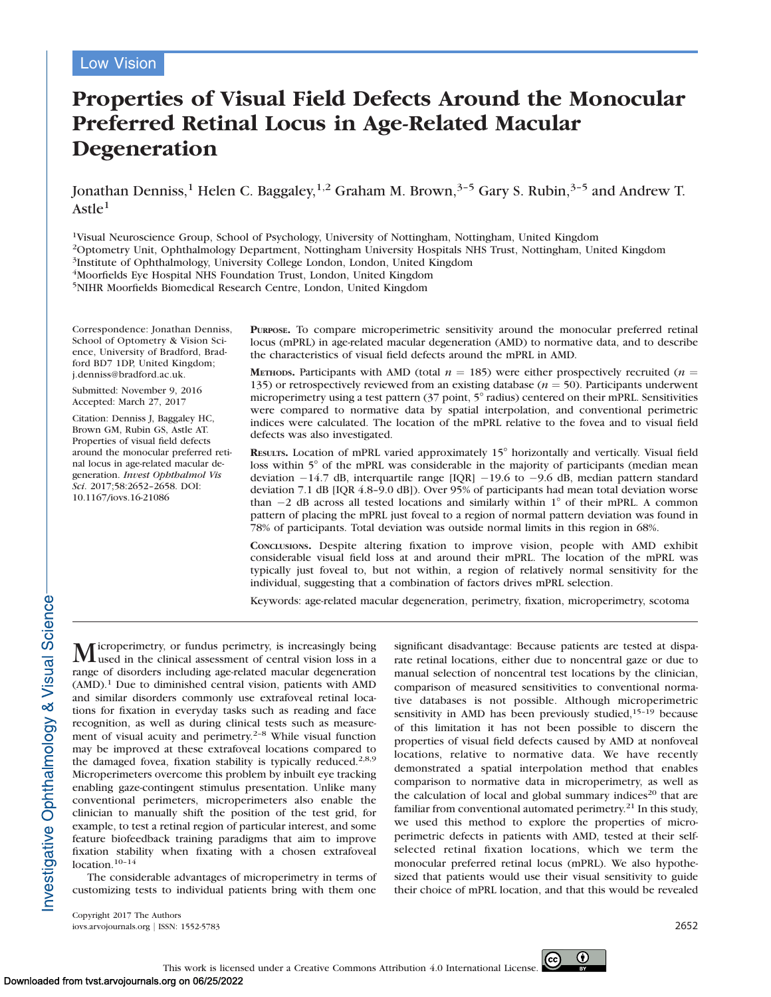# Properties of Visual Field Defects Around the Monocular Preferred Retinal Locus in Age-Related Macular Degeneration

Jonathan Denniss,<sup>1</sup> Helen C. Baggaley,<sup>1,2</sup> Graham M. Brown,<sup>3-5</sup> Gary S. Rubin,<sup>3-5</sup> and Andrew T.  $A$ stle $<sup>1</sup>$ </sup>

1Visual Neuroscience Group, School of Psychology, University of Nottingham, Nottingham, United Kingdom 2Optometry Unit, Ophthalmology Department, Nottingham University Hospitals NHS Trust, Nottingham, United Kingdom 3Institute of Ophthalmology, University College London, London, United Kingdom 4Moorfields Eye Hospital NHS Foundation Trust, London, United Kingdom

5NIHR Moorfields Biomedical Research Centre, London, United Kingdom

Correspondence: Jonathan Denniss, School of Optometry & Vision Science, University of Bradford, Bradford BD7 1DP, United Kingdom; j.denniss@bradford.ac.uk.

Submitted: November 9, 2016 Accepted: March 27, 2017

Citation: Denniss J, Baggaley HC, Brown GM, Rubin GS, Astle AT. Properties of visual field defects around the monocular preferred retinal locus in age-related macular degeneration. Invest Ophthalmol Vis Sci. 2017;58:2652–2658. DOI: 10.1167/iovs.16-21086

PURPOSE. To compare microperimetric sensitivity around the monocular preferred retinal locus (mPRL) in age-related macular degeneration (AMD) to normative data, and to describe the characteristics of visual field defects around the mPRL in AMD.

METHODS. Participants with AMD (total  $n = 185$ ) were either prospectively recruited (*n* = 135) or retrospectively reviewed from an existing database ( $n = 50$ ). Participants underwent microperimetry using a test pattern (37 point, 5° radius) centered on their mPRL. Sensitivities were compared to normative data by spatial interpolation, and conventional perimetric indices were calculated. The location of the mPRL relative to the fovea and to visual field defects was also investigated.

RESULTS. Location of mPRL varied approximately 15° horizontally and vertically. Visual field loss within  $5^{\circ}$  of the mPRL was considerable in the majority of participants (median mean deviation  $-14.7$  dB, interquartile range [IQR]  $-19.6$  to  $-9.6$  dB, median pattern standard deviation 7.1 dB [IQR 4.8-9.0 dB]). Over 95% of participants had mean total deviation worse than  $-2$  dB across all tested locations and similarly within  $1^{\circ}$  of their mPRL. A common pattern of placing the mPRL just foveal to a region of normal pattern deviation was found in 78% of participants. Total deviation was outside normal limits in this region in 68%.

CONCLUSIONS. Despite altering fixation to improve vision, people with AMD exhibit considerable visual field loss at and around their mPRL. The location of the mPRL was typically just foveal to, but not within, a region of relatively normal sensitivity for the individual, suggesting that a combination of factors drives mPRL selection.

Keywords: age-related macular degeneration, perimetry, fixation, microperimetry, scotoma

Microperimetry, or fundus perimetry, is increasingly being used in the clinical assessment of central vision loss in a range of disorders including age-related macular degeneration  $(AMD)^1$  Due to diminished central vision, patients with AMD and similar disorders commonly use extrafoveal retinal locations for fixation in everyday tasks such as reading and face recognition, as well as during clinical tests such as measurement of visual acuity and perimetry.<sup>2-8</sup> While visual function may be improved at these extrafoveal locations compared to the damaged fovea, fixation stability is typically reduced.2,8,9 Microperimeters overcome this problem by inbuilt eye tracking enabling gaze-contingent stimulus presentation. Unlike many conventional perimeters, microperimeters also enable the clinician to manually shift the position of the test grid, for example, to test a retinal region of particular interest, and some feature biofeedback training paradigms that aim to improve fixation stability when fixating with a chosen extrafoveal location.10–14

The considerable advantages of microperimetry in terms of customizing tests to individual patients bring with them one

significant disadvantage: Because patients are tested at disparate retinal locations, either due to noncentral gaze or due to manual selection of noncentral test locations by the clinician, comparison of measured sensitivities to conventional normative databases is not possible. Although microperimetric sensitivity in AMD has been previously studied, $15-19$  because of this limitation it has not been possible to discern the properties of visual field defects caused by AMD at nonfoveal locations, relative to normative data. We have recently demonstrated a spatial interpolation method that enables comparison to normative data in microperimetry, as well as the calculation of local and global summary indices<sup>20</sup> that are familiar from conventional automated perimetry.<sup>21</sup> In this study, we used this method to explore the properties of microperimetric defects in patients with AMD, tested at their selfselected retinal fixation locations, which we term the monocular preferred retinal locus (mPRL). We also hypothesized that patients would use their visual sensitivity to guide their choice of mPRL location, and that this would be revealed

Copyright 2017 The Authors iovs.arvojournals.org j ISSN: 1552-5783 2652

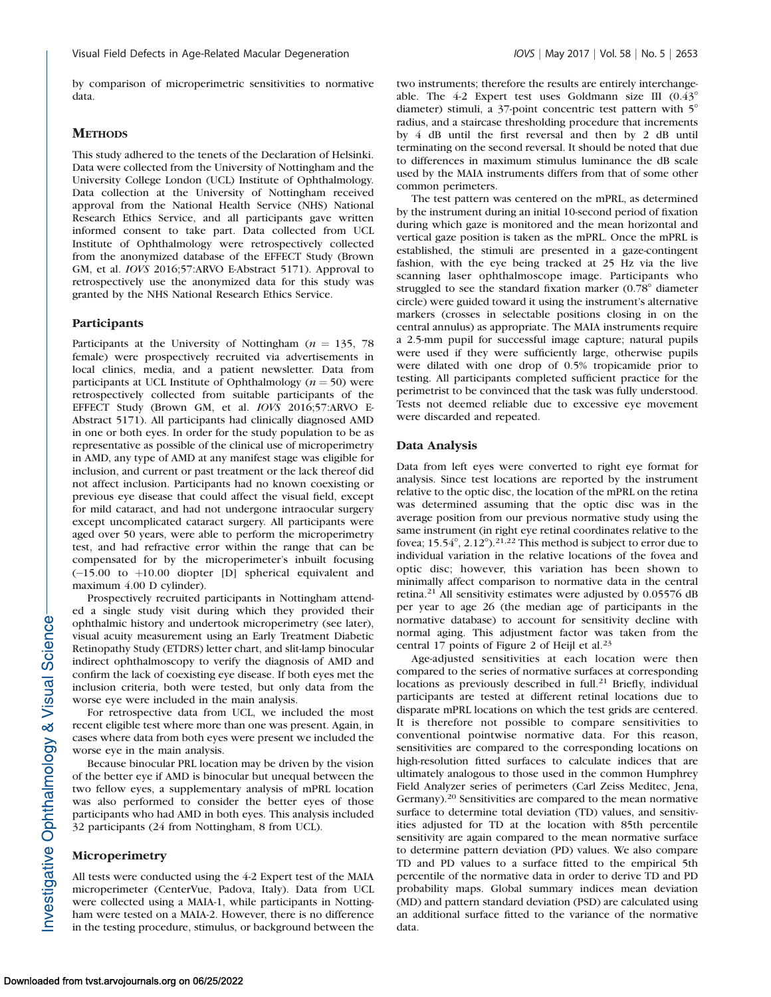by comparison of microperimetric sensitivities to normative data.

# **METHODS**

This study adhered to the tenets of the Declaration of Helsinki. Data were collected from the University of Nottingham and the University College London (UCL) Institute of Ophthalmology. Data collection at the University of Nottingham received approval from the National Health Service (NHS) National Research Ethics Service, and all participants gave written informed consent to take part. Data collected from UCL Institute of Ophthalmology were retrospectively collected from the anonymized database of the EFFECT Study (Brown GM, et al. IOVS 2016;57:ARVO E-Abstract 5171). Approval to retrospectively use the anonymized data for this study was granted by the NHS National Research Ethics Service.

# Participants

Participants at the University of Nottingham ( $n = 135, 78$ ) female) were prospectively recruited via advertisements in local clinics, media, and a patient newsletter. Data from participants at UCL Institute of Ophthalmology ( $n = 50$ ) were retrospectively collected from suitable participants of the EFFECT Study (Brown GM, et al. IOVS 2016;57:ARVO E-Abstract 5171). All participants had clinically diagnosed AMD in one or both eyes. In order for the study population to be as representative as possible of the clinical use of microperimetry in AMD, any type of AMD at any manifest stage was eligible for inclusion, and current or past treatment or the lack thereof did not affect inclusion. Participants had no known coexisting or previous eye disease that could affect the visual field, except for mild cataract, and had not undergone intraocular surgery except uncomplicated cataract surgery. All participants were aged over 50 years, were able to perform the microperimetry test, and had refractive error within the range that can be compensated for by the microperimeter's inbuilt focusing  $(-15.00 \text{ to } +10.00 \text{ diopter}$  [D] spherical equivalent and maximum 4.00 D cylinder).

Prospectively recruited participants in Nottingham attended a single study visit during which they provided their ophthalmic history and undertook microperimetry (see later), visual acuity measurement using an Early Treatment Diabetic Retinopathy Study (ETDRS) letter chart, and slit-lamp binocular indirect ophthalmoscopy to verify the diagnosis of AMD and confirm the lack of coexisting eye disease. If both eyes met the inclusion criteria, both were tested, but only data from the worse eye were included in the main analysis.

For retrospective data from UCL, we included the most recent eligible test where more than one was present. Again, in cases where data from both eyes were present we included the worse eye in the main analysis.

Because binocular PRL location may be driven by the vision of the better eye if AMD is binocular but unequal between the two fellow eyes, a supplementary analysis of mPRL location was also performed to consider the better eyes of those participants who had AMD in both eyes. This analysis included 32 participants (24 from Nottingham, 8 from UCL).

#### Microperimetry

All tests were conducted using the 4-2 Expert test of the MAIA microperimeter (CenterVue, Padova, Italy). Data from UCL were collected using a MAIA-1, while participants in Nottingham were tested on a MAIA-2. However, there is no difference in the testing procedure, stimulus, or background between the

two instruments; therefore the results are entirely interchangeable. The  $4-2$  Expert test uses Goldmann size III  $(0.43^\circ)$ diameter) stimuli, a  $37$ -point concentric test pattern with  $5^\circ$ radius, and a staircase thresholding procedure that increments by 4 dB until the first reversal and then by 2 dB until terminating on the second reversal. It should be noted that due to differences in maximum stimulus luminance the dB scale used by the MAIA instruments differs from that of some other common perimeters.

The test pattern was centered on the mPRL, as determined by the instrument during an initial 10-second period of fixation during which gaze is monitored and the mean horizontal and vertical gaze position is taken as the mPRL. Once the mPRL is established, the stimuli are presented in a gaze-contingent fashion, with the eye being tracked at 25 Hz via the live scanning laser ophthalmoscope image. Participants who struggled to see the standard fixation marker  $(0.78^\circ$  diameter circle) were guided toward it using the instrument's alternative markers (crosses in selectable positions closing in on the central annulus) as appropriate. The MAIA instruments require a 2.5-mm pupil for successful image capture; natural pupils were used if they were sufficiently large, otherwise pupils were dilated with one drop of 0.5% tropicamide prior to testing. All participants completed sufficient practice for the perimetrist to be convinced that the task was fully understood. Tests not deemed reliable due to excessive eye movement were discarded and repeated.

#### Data Analysis

Data from left eyes were converted to right eye format for analysis. Since test locations are reported by the instrument relative to the optic disc, the location of the mPRL on the retina was determined assuming that the optic disc was in the average position from our previous normative study using the same instrument (in right eye retinal coordinates relative to the fovea;  $15.54^{\circ}$ ,  $2.12^{\circ}$ ).<sup>21,22</sup> This method is subject to error due to individual variation in the relative locations of the fovea and optic disc; however, this variation has been shown to minimally affect comparison to normative data in the central retina.<sup>21</sup> All sensitivity estimates were adjusted by 0.05576 dB per year to age 26 (the median age of participants in the normative database) to account for sensitivity decline with normal aging. This adjustment factor was taken from the central 17 points of Figure 2 of Heijl et al.<sup>23</sup>

Age-adjusted sensitivities at each location were then compared to the series of normative surfaces at corresponding locations as previously described in full.<sup>21</sup> Briefly, individual participants are tested at different retinal locations due to disparate mPRL locations on which the test grids are centered. It is therefore not possible to compare sensitivities to conventional pointwise normative data. For this reason, sensitivities are compared to the corresponding locations on high-resolution fitted surfaces to calculate indices that are ultimately analogous to those used in the common Humphrey Field Analyzer series of perimeters (Carl Zeiss Meditec, Jena, Germany).<sup>20</sup> Sensitivities are compared to the mean normative surface to determine total deviation (TD) values, and sensitivities adjusted for TD at the location with 85th percentile sensitivity are again compared to the mean normative surface to determine pattern deviation (PD) values. We also compare TD and PD values to a surface fitted to the empirical 5th percentile of the normative data in order to derive TD and PD probability maps. Global summary indices mean deviation (MD) and pattern standard deviation (PSD) are calculated using an additional surface fitted to the variance of the normative data.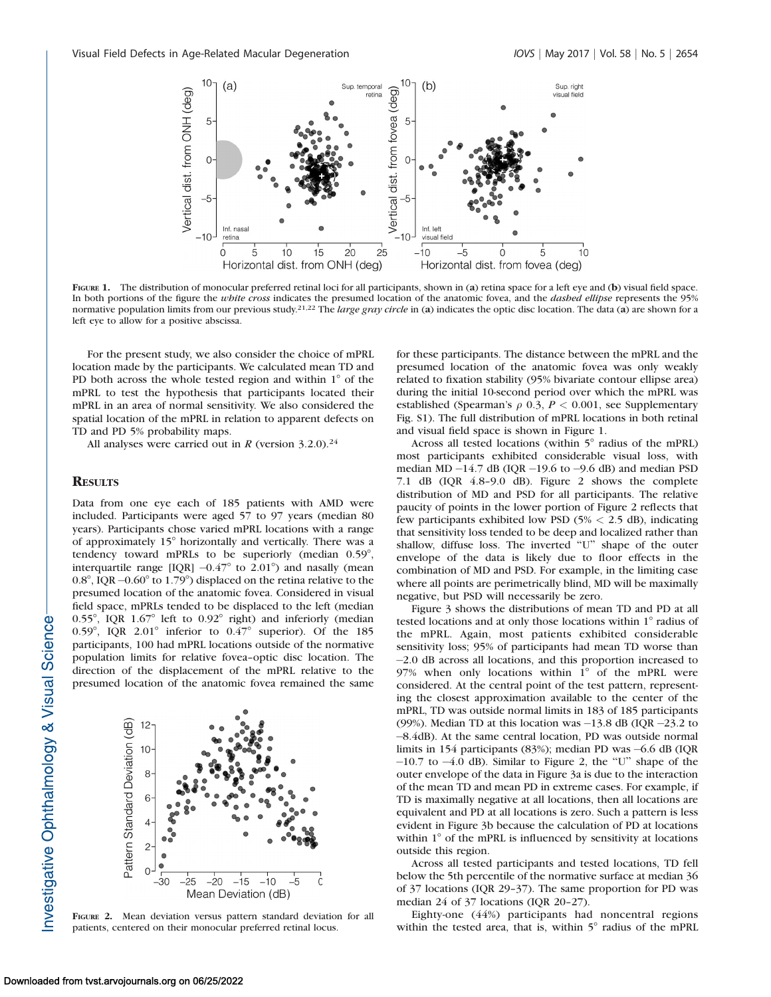

FIGURE 1. The distribution of monocular preferred retinal loci for all participants, shown in (a) retina space for a left eye and (b) visual field space. In both portions of the figure the white cross indicates the presumed location of the anatomic fovea, and the dashed ellipse represents the 95% normative population limits from our previous study.<sup>21,22</sup> The *large gray circle* in (a) indicates the optic disc location. The data (a) are shown for a left eye to allow for a positive abscissa.

For the present study, we also consider the choice of mPRL location made by the participants. We calculated mean TD and PD both across the whole tested region and within  $1^\circ$  of the mPRL to test the hypothesis that participants located their mPRL in an area of normal sensitivity. We also considered the spatial location of the mPRL in relation to apparent defects on TD and PD 5% probability maps.

All analyses were carried out in R (version  $3.2.0$ ).<sup>24</sup>

## **RESULTS**

Data from one eye each of 185 patients with AMD were included. Participants were aged 57 to 97 years (median 80 years). Participants chose varied mPRL locations with a range of approximately 15° horizontally and vertically. There was a tendency toward mPRLs to be superiorly (median  $0.59^{\circ}$ , interquartile range [IQR]  $-0.47^{\circ}$  to 2.01°) and nasally (mean 0.8°, IQR  $-0.60^{\circ}$  to 1.79°) displaced on the retina relative to the presumed location of the anatomic fovea. Considered in visual field space, mPRLs tended to be displaced to the left (median 0.55°, IQR  $1.67°$  left to 0.92° right) and inferiorly (median 0.59°, IQR 2.01° inferior to  $0.47$ ° superior). Of the 185 participants, 100 had mPRL locations outside of the normative population limits for relative fovea–optic disc location. The direction of the displacement of the mPRL relative to the presumed location of the anatomic fovea remained the same



FIGURE 2. Mean deviation versus pattern standard deviation for all patients, centered on their monocular preferred retinal locus.

for these participants. The distance between the mPRL and the presumed location of the anatomic fovea was only weakly related to fixation stability (95% bivariate contour ellipse area) during the initial 10-second period over which the mPRL was established (Spearman's  $\rho$  0.3,  $P < 0.001$ , see Supplementary Fig. S1). The full distribution of mPRL locations in both retinal and visual field space is shown in Figure 1.

Across all tested locations (within  $5^\circ$  radius of the mPRL) most participants exhibited considerable visual loss, with median  $MD - 14.7$  dB (IQR  $-19.6$  to  $-9.6$  dB) and median PSD 7.1 dB (IQR 4.8–9.0 dB). Figure 2 shows the complete distribution of MD and PSD for all participants. The relative paucity of points in the lower portion of Figure 2 reflects that few participants exhibited low PSD (5% < 2.5 dB), indicating that sensitivity loss tended to be deep and localized rather than shallow, diffuse loss. The inverted "U" shape of the outer envelope of the data is likely due to floor effects in the combination of MD and PSD. For example, in the limiting case where all points are perimetrically blind, MD will be maximally negative, but PSD will necessarily be zero.

Figure 3 shows the distributions of mean TD and PD at all tested locations and at only those locations within 1° radius of the mPRL. Again, most patients exhibited considerable sensitivity loss; 95% of participants had mean TD worse than -2.0 dB across all locations, and this proportion increased to 97% when only locations within  $1^{\circ}$  of the mPRL were considered. At the central point of the test pattern, representing the closest approximation available to the center of the mPRL, TD was outside normal limits in 183 of 185 participants (99%). Median TD at this location was  $-13.8$  dB (IQR  $-23.2$  to -8.4dB). At the same central location, PD was outside normal limits in 154 participants (83%); median PD was -6.6 dB (IQR  $-10.7$  to  $-4.0$  dB). Similar to Figure 2, the "U" shape of the outer envelope of the data in Figure 3a is due to the interaction of the mean TD and mean PD in extreme cases. For example, if TD is maximally negative at all locations, then all locations are equivalent and PD at all locations is zero. Such a pattern is less evident in Figure 3b because the calculation of PD at locations within  $1^\circ$  of the mPRL is influenced by sensitivity at locations outside this region.

Across all tested participants and tested locations, TD fell below the 5th percentile of the normative surface at median 36 of 37 locations (IQR 29–37). The same proportion for PD was median 24 of 37 locations (IQR 20–27).

Eighty-one (44%) participants had noncentral regions within the tested area, that is, within  $5^\circ$  radius of the mPRL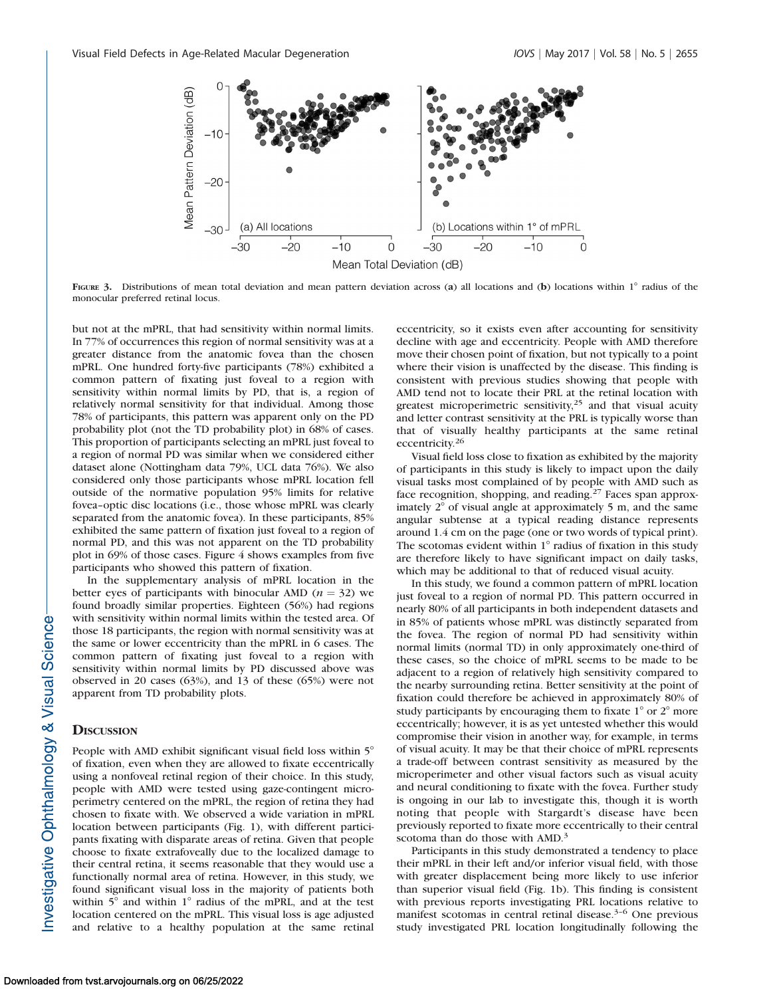

FIGURE 3. Distributions of mean total deviation and mean pattern deviation across (a) all locations and (b) locations within  $1^\circ$  radius of the monocular preferred retinal locus.

but not at the mPRL, that had sensitivity within normal limits. In 77% of occurrences this region of normal sensitivity was at a greater distance from the anatomic fovea than the chosen mPRL. One hundred forty-five participants (78%) exhibited a common pattern of fixating just foveal to a region with sensitivity within normal limits by PD, that is, a region of relatively normal sensitivity for that individual. Among those 78% of participants, this pattern was apparent only on the PD probability plot (not the TD probability plot) in 68% of cases. This proportion of participants selecting an mPRL just foveal to a region of normal PD was similar when we considered either dataset alone (Nottingham data 79%, UCL data 76%). We also considered only those participants whose mPRL location fell outside of the normative population 95% limits for relative fovea–optic disc locations (i.e., those whose mPRL was clearly separated from the anatomic fovea). In these participants, 85% exhibited the same pattern of fixation just foveal to a region of normal PD, and this was not apparent on the TD probability plot in 69% of those cases. Figure 4 shows examples from five participants who showed this pattern of fixation.

In the supplementary analysis of mPRL location in the better eyes of participants with binocular AMD ( $n = 32$ ) we found broadly similar properties. Eighteen (56%) had regions with sensitivity within normal limits within the tested area. Of those 18 participants, the region with normal sensitivity was at the same or lower eccentricity than the mPRL in 6 cases. The common pattern of fixating just foveal to a region with sensitivity within normal limits by PD discussed above was observed in 20 cases (63%), and 13 of these (65%) were not apparent from TD probability plots.

#### **DISCUSSION**

People with AMD exhibit significant visual field loss within 5° of fixation, even when they are allowed to fixate eccentrically using a nonfoveal retinal region of their choice. In this study, people with AMD were tested using gaze-contingent microperimetry centered on the mPRL, the region of retina they had chosen to fixate with. We observed a wide variation in mPRL location between participants (Fig. 1), with different participants fixating with disparate areas of retina. Given that people choose to fixate extrafoveally due to the localized damage to their central retina, it seems reasonable that they would use a functionally normal area of retina. However, in this study, we found significant visual loss in the majority of patients both within  $5^\circ$  and within  $1^\circ$  radius of the mPRL, and at the test location centered on the mPRL. This visual loss is age adjusted and relative to a healthy population at the same retinal

eccentricity, so it exists even after accounting for sensitivity decline with age and eccentricity. People with AMD therefore move their chosen point of fixation, but not typically to a point where their vision is unaffected by the disease. This finding is consistent with previous studies showing that people with AMD tend not to locate their PRL at the retinal location with greatest microperimetric sensitivity, $25$  and that visual acuity and letter contrast sensitivity at the PRL is typically worse than that of visually healthy participants at the same retinal eccentricity.<sup>26</sup>

Visual field loss close to fixation as exhibited by the majority of participants in this study is likely to impact upon the daily visual tasks most complained of by people with AMD such as face recognition, shopping, and reading.<sup>27</sup> Faces span approximately  $2^{\circ}$  of visual angle at approximately 5 m, and the same angular subtense at a typical reading distance represents around 1.4 cm on the page (one or two words of typical print). The scotomas evident within  $1^\circ$  radius of fixation in this study are therefore likely to have significant impact on daily tasks, which may be additional to that of reduced visual acuity.

In this study, we found a common pattern of mPRL location just foveal to a region of normal PD. This pattern occurred in nearly 80% of all participants in both independent datasets and in 85% of patients whose mPRL was distinctly separated from the fovea. The region of normal PD had sensitivity within normal limits (normal TD) in only approximately one-third of these cases, so the choice of mPRL seems to be made to be adjacent to a region of relatively high sensitivity compared to the nearby surrounding retina. Better sensitivity at the point of fixation could therefore be achieved in approximately 80% of study participants by encouraging them to fixate  $1^{\circ}$  or  $2^{\circ}$  more eccentrically; however, it is as yet untested whether this would compromise their vision in another way, for example, in terms of visual acuity. It may be that their choice of mPRL represents a trade-off between contrast sensitivity as measured by the microperimeter and other visual factors such as visual acuity and neural conditioning to fixate with the fovea. Further study is ongoing in our lab to investigate this, though it is worth noting that people with Stargardt's disease have been previously reported to fixate more eccentrically to their central scotoma than do those with AMD.<sup>3</sup>

Participants in this study demonstrated a tendency to place their mPRL in their left and/or inferior visual field, with those with greater displacement being more likely to use inferior than superior visual field (Fig. 1b). This finding is consistent with previous reports investigating PRL locations relative to manifest scotomas in central retinal disease.<sup>3-6</sup> One previous study investigated PRL location longitudinally following the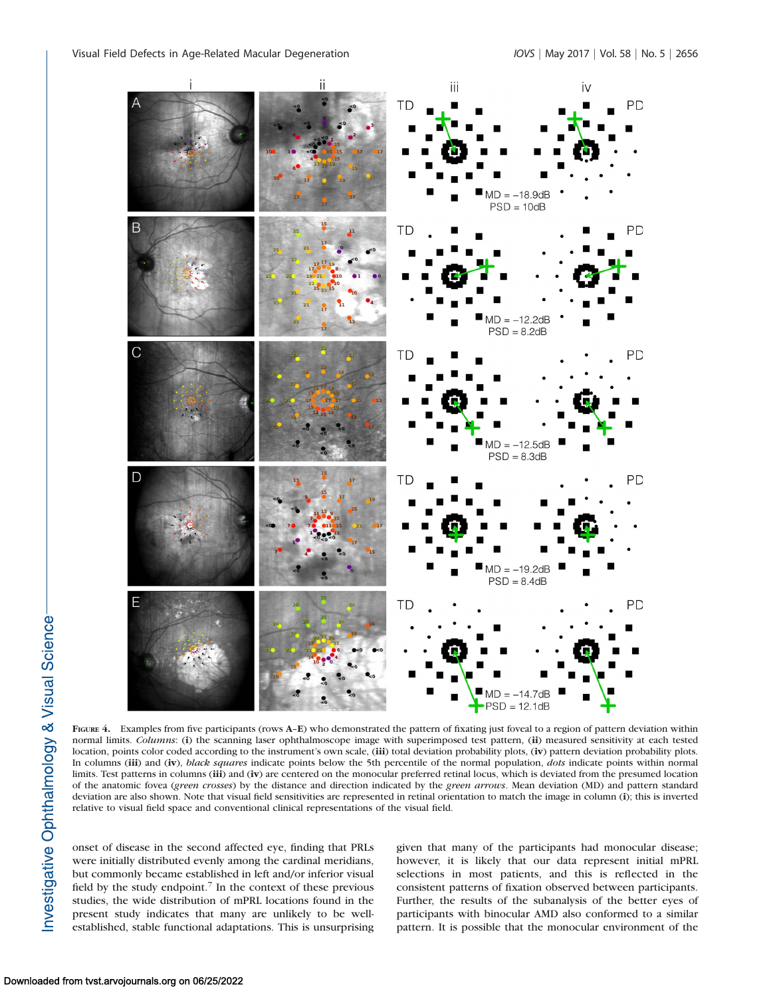

FIGURE 4. Examples from five participants (rows A–E) who demonstrated the pattern of fixating just foveal to a region of pattern deviation within normal limits. Columns: (i) the scanning laser ophthalmoscope image with superimposed test pattern, (ii) measured sensitivity at each tested location, points color coded according to the instrument's own scale, (iii) total deviation probability plots, (iv) pattern deviation probability plots. In columns (iii) and (iv), black squares indicate points below the 5th percentile of the normal population, dots indicate points within normal limits. Test patterns in columns (iii) and (iv) are centered on the monocular preferred retinal locus, which is deviated from the presumed location of the anatomic fovea (green crosses) by the distance and direction indicated by the green arrows. Mean deviation (MD) and pattern standard deviation are also shown. Note that visual field sensitivities are represented in retinal orientation to match the image in column (i); this is inverted relative to visual field space and conventional clinical representations of the visual field.

onset of disease in the second affected eye, finding that PRLs were initially distributed evenly among the cardinal meridians, but commonly became established in left and/or inferior visual field by the study endpoint.<sup>7</sup> In the context of these previous studies, the wide distribution of mPRL locations found in the present study indicates that many are unlikely to be wellestablished, stable functional adaptations. This is unsurprising given that many of the participants had monocular disease; however, it is likely that our data represent initial mPRL selections in most patients, and this is reflected in the consistent patterns of fixation observed between participants. Further, the results of the subanalysis of the better eyes of participants with binocular AMD also conformed to a similar pattern. It is possible that the monocular environment of the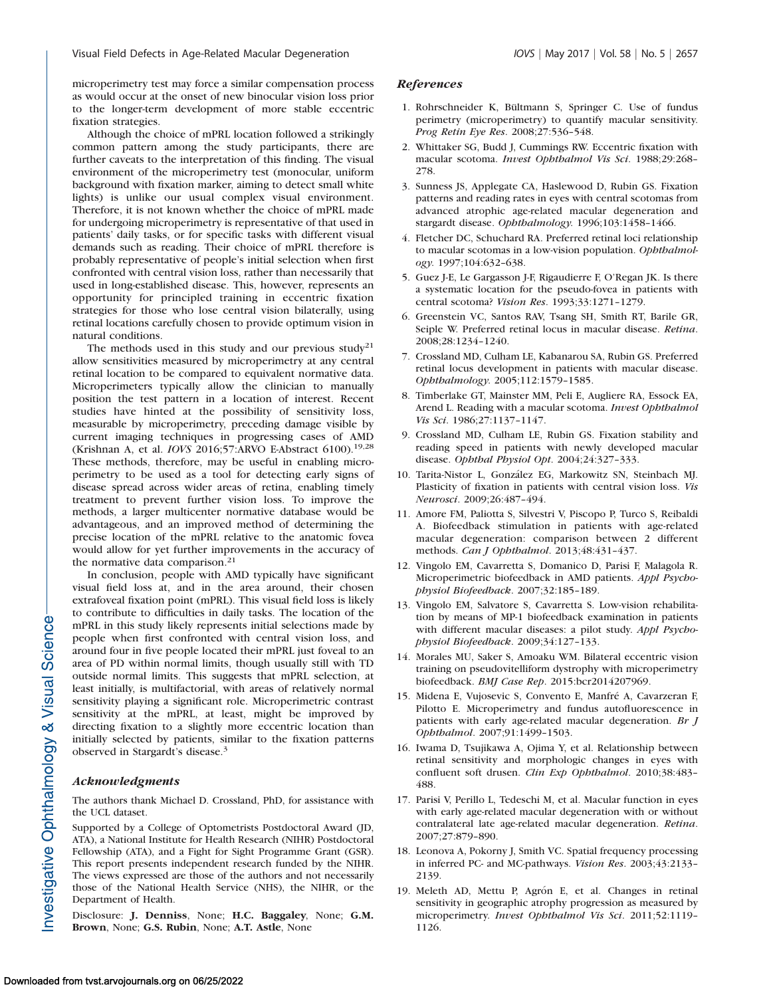microperimetry test may force a similar compensation process as would occur at the onset of new binocular vision loss prior to the longer-term development of more stable eccentric fixation strategies.

Although the choice of mPRL location followed a strikingly common pattern among the study participants, there are further caveats to the interpretation of this finding. The visual environment of the microperimetry test (monocular, uniform background with fixation marker, aiming to detect small white lights) is unlike our usual complex visual environment. Therefore, it is not known whether the choice of mPRL made for undergoing microperimetry is representative of that used in patients' daily tasks, or for specific tasks with different visual demands such as reading. Their choice of mPRL therefore is probably representative of people's initial selection when first confronted with central vision loss, rather than necessarily that used in long-established disease. This, however, represents an opportunity for principled training in eccentric fixation strategies for those who lose central vision bilaterally, using retinal locations carefully chosen to provide optimum vision in natural conditions.

The methods used in this study and our previous study<sup>21</sup> allow sensitivities measured by microperimetry at any central retinal location to be compared to equivalent normative data. Microperimeters typically allow the clinician to manually position the test pattern in a location of interest. Recent studies have hinted at the possibility of sensitivity loss, measurable by microperimetry, preceding damage visible by current imaging techniques in progressing cases of AMD (Krishnan A, et al. IOVS 2016;57:ARVO E-Abstract 6100).19,28 These methods, therefore, may be useful in enabling microperimetry to be used as a tool for detecting early signs of disease spread across wider areas of retina, enabling timely treatment to prevent further vision loss. To improve the methods, a larger multicenter normative database would be advantageous, and an improved method of determining the precise location of the mPRL relative to the anatomic fovea would allow for yet further improvements in the accuracy of the normative data comparison.<sup>21</sup>

In conclusion, people with AMD typically have significant visual field loss at, and in the area around, their chosen extrafoveal fixation point (mPRL). This visual field loss is likely to contribute to difficulties in daily tasks. The location of the mPRL in this study likely represents initial selections made by people when first confronted with central vision loss, and around four in five people located their mPRL just foveal to an area of PD within normal limits, though usually still with TD outside normal limits. This suggests that mPRL selection, at least initially, is multifactorial, with areas of relatively normal sensitivity playing a significant role. Microperimetric contrast sensitivity at the mPRL, at least, might be improved by directing fixation to a slightly more eccentric location than initially selected by patients, similar to the fixation patterns observed in Stargardt's disease.<sup>3</sup>

## Acknowledgments

The authors thank Michael D. Crossland, PhD, for assistance with the UCL dataset.

Supported by a College of Optometrists Postdoctoral Award (JD, ATA), a National Institute for Health Research (NIHR) Postdoctoral Fellowship (ATA), and a Fight for Sight Programme Grant (GSR). This report presents independent research funded by the NIHR. The views expressed are those of the authors and not necessarily those of the National Health Service (NHS), the NIHR, or the Department of Health.

Disclosure: J. Denniss, None; H.C. Baggaley, None; G.M. Brown, None; G.S. Rubin, None; A.T. Astle, None

### References

- 1. Rohrschneider K, Bültmann S, Springer C. Use of fundus perimetry (microperimetry) to quantify macular sensitivity. Prog Retin Eye Res. 2008;27:536–548.
- 2. Whittaker SG, Budd J, Cummings RW. Eccentric fixation with macular scotoma. Invest Ophthalmol Vis Sci. 1988;29:268– 278.
- 3. Sunness JS, Applegate CA, Haslewood D, Rubin GS. Fixation patterns and reading rates in eyes with central scotomas from advanced atrophic age-related macular degeneration and stargardt disease. Ophthalmology. 1996;103:1458–1466.
- 4. Fletcher DC, Schuchard RA. Preferred retinal loci relationship to macular scotomas in a low-vision population. Ophthalmology. 1997;104:632–638.
- 5. Guez J-E, Le Gargasson J-F, Rigaudierre F, O'Regan JK. Is there a systematic location for the pseudo-fovea in patients with central scotoma? Vision Res. 1993;33:1271–1279.
- 6. Greenstein VC, Santos RAV, Tsang SH, Smith RT, Barile GR, Seiple W. Preferred retinal locus in macular disease. Retina. 2008;28:1234–1240.
- 7. Crossland MD, Culham LE, Kabanarou SA, Rubin GS. Preferred retinal locus development in patients with macular disease. Ophthalmology. 2005;112:1579–1585.
- 8. Timberlake GT, Mainster MM, Peli E, Augliere RA, Essock EA, Arend L. Reading with a macular scotoma. Invest Ophthalmol Vis Sci. 1986;27:1137–1147.
- 9. Crossland MD, Culham LE, Rubin GS. Fixation stability and reading speed in patients with newly developed macular disease. Ophthal Physiol Opt. 2004;24:327–333.
- 10. Tarita-Nistor L, Gonz´alez EG, Markowitz SN, Steinbach MJ. Plasticity of fixation in patients with central vision loss. Vis Neurosci. 2009;26:487–494.
- 11. Amore FM, Paliotta S, Silvestri V, Piscopo P, Turco S, Reibaldi A. Biofeedback stimulation in patients with age-related macular degeneration: comparison between 2 different methods. Can J Ophthalmol. 2013;48:431–437.
- 12. Vingolo EM, Cavarretta S, Domanico D, Parisi F, Malagola R. Microperimetric biofeedback in AMD patients. Appl Psychophysiol Biofeedback. 2007;32:185–189.
- 13. Vingolo EM, Salvatore S, Cavarretta S. Low-vision rehabilitation by means of MP-1 biofeedback examination in patients with different macular diseases: a pilot study. Appl Psychophysiol Biofeedback. 2009;34:127–133.
- 14. Morales MU, Saker S, Amoaku WM. Bilateral eccentric vision training on pseudovitelliform dystrophy with microperimetry biofeedback. BMJ Case Rep. 2015:bcr2014207969.
- 15. Midena E, Vujosevic S, Convento E, Manfre A, Cavarzeran F, ´ Pilotto E. Microperimetry and fundus autofluorescence in patients with early age-related macular degeneration. Br J Ophthalmol. 2007;91:1499–1503.
- 16. Iwama D, Tsujikawa A, Ojima Y, et al. Relationship between retinal sensitivity and morphologic changes in eyes with confluent soft drusen. Clin Exp Ophthalmol. 2010;38:483– 488.
- 17. Parisi V, Perillo L, Tedeschi M, et al. Macular function in eyes with early age-related macular degeneration with or without contralateral late age-related macular degeneration. Retina. 2007;27:879–890.
- 18. Leonova A, Pokorny J, Smith VC. Spatial frequency processing in inferred PC- and MC-pathways. Vision Res. 2003;43:2133– 2139.
- 19. Meleth AD, Mettu P, Agrón E, et al. Changes in retinal sensitivity in geographic atrophy progression as measured by microperimetry. Invest Ophthalmol Vis Sci. 2011;52:1119– 1126.